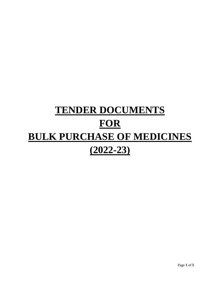# **TENDER DOCUMENTS FOR BULK PURCHASE OF MEDICINES (2022-23)**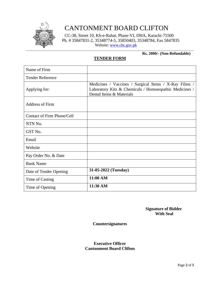

# CANTONMENT BOARD CLIFTON

CC-38, Street 10, Kh-e-Rahat, Phase-VI, DHA, Karachi-75500 Ph. # 35847831-2, 35348774-5, 35850403, 35348784, Fax 5847835 Website: [www.cbc.gov.pk](http://www.cbc.gov.pk/)

#### **Rs. 2000/- (Non-Refundable)**

#### **TENDER FORM**

| Name of Firm                      |                                                                                                                                             |
|-----------------------------------|---------------------------------------------------------------------------------------------------------------------------------------------|
| <b>Tender Reference</b>           |                                                                                                                                             |
| Applying for:                     | Medicines / Vaccines / Surgical Items / X-Ray Films /<br>Laboratory Kits & Chemicals / Homoeopathic Medicines /<br>Dental Items & Materials |
| <b>Address of Firm</b>            |                                                                                                                                             |
| <b>Contact of Firm Phone/Cell</b> |                                                                                                                                             |
| NTN No.                           |                                                                                                                                             |
| GST No.                           |                                                                                                                                             |
| Email                             |                                                                                                                                             |
| Website                           |                                                                                                                                             |
| Pay Order No. & Date              |                                                                                                                                             |
| <b>Bank Name</b>                  |                                                                                                                                             |
| Date of Tender Opening            | 31-05-2022 (Tuesday)                                                                                                                        |
| Time of Casting                   | 11:00 AM                                                                                                                                    |
| Time of Opening                   | 11:30 AM                                                                                                                                    |

 **Signature of Bidder With Seal**

#### **Countersignatures**

#### **Executive Officer Cantonment Board Clifton**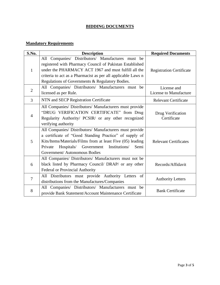### **BIDDING DOCUMENTS**

## **Mandatory Requirements**

| S.No.          | <b>Description</b>                                                                                            | <b>Required Documents</b>        |  |
|----------------|---------------------------------------------------------------------------------------------------------------|----------------------------------|--|
| $\mathbf{1}$   | All Companies/ Distributors/ Manufactures must be<br>registered with Pharmacy Council of Pakistan Established |                                  |  |
|                | under the PHARMACY ACT 1967 and must fulfill all the                                                          | <b>Registration Certificate</b>  |  |
|                | criteria to act as a Pharmacist as per all applicable Laws n                                                  |                                  |  |
|                | Regulations of Governments & Regulatory Bodies.                                                               |                                  |  |
| $\overline{2}$ | All Companies/ Distributors/ Manufacturers must be                                                            | License and                      |  |
|                | licensed as per Rule.                                                                                         | License to Manufacture           |  |
| $\overline{3}$ | NTN and SECP Registration Certificate                                                                         | <b>Relevant Certificate</b>      |  |
| $\overline{4}$ | All Companies/ Distributors/ Manufacturers must provide                                                       | Drug Verification<br>Certificate |  |
|                | "DRUG VERIFICATION CERTIFICATE" from Drug                                                                     |                                  |  |
|                | Regularity Authority/ PCSIR/ or any other recognized                                                          |                                  |  |
|                | verifying authority                                                                                           |                                  |  |
| 5              | All Companies/ Distributors/ Manufacturers must provide                                                       |                                  |  |
|                | a certificate of "Good Standing Practice" of supply of                                                        |                                  |  |
|                | Kits/Items/Materials/Films from at least Five (05) leading                                                    | <b>Relevant Certificates</b>     |  |
|                | Hospitals/ Government<br>Institutions/<br>Private<br>Semi                                                     |                                  |  |
|                | Government/ Autonomous Bodies                                                                                 |                                  |  |
| 6              | All Companies/ Distributors/ Manufacturers must not be                                                        |                                  |  |
|                | black listed by Pharmacy Council/ DRAP/ or any other                                                          | Records/Affidavit                |  |
|                | <b>Federal or Provincial Authority</b>                                                                        |                                  |  |
| 7              | All Distributors must provide Authority Letters<br>of                                                         | <b>Authority Letters</b>         |  |
|                | distributions from the Manufactures/Companies                                                                 |                                  |  |
| 8              | All Companies/ Distributors/ Manufacturers must be                                                            | <b>Bank Certificate</b>          |  |
|                | provide Bank Statement/Account Maintenance Certificate                                                        |                                  |  |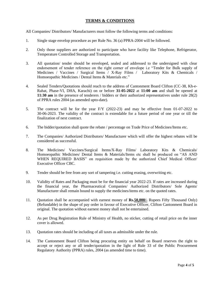#### **TERMS & CONDITIONS**

All Companies/ Distributors/ Manufacturers must follow the following terms and conditions:

- 1. Single stage envelop procedure as per Rule No. 36 (a) PPRA-2004 will be followed.
- 2. Only those suppliers are authorized to participate who have facility like Telephone, Refrigerator, Temperature Controlled Storage and Transportation.
- 3. All quotation/ tender should be enveloped, sealed and addressed to the undersigned with clear endorsement of tender reference on the right corner of envelope i.e "Tender for Bulk supply of Medicines / Vaccines / Surgical Items / X-Ray Films / Laboratory Kits & Chemicals / Homoeopathic Medicines / Dental Items & Materials etc."
- 4. Sealed Tenders/Quotations should reach to the address of Cantonment Board Clifton (CC-38, Kh-e-Rahat, Phase-VI, DHA, Karachi) on or before **31-05-2022** at **11:00 am** and shall be opened at **11:30 am** in the presence of tenderers / bidders or their authorized representatives under rule 28(2) of PPRA rules 2004 (as amended upto-date).
- 5. The contract will be for the year F/Y (2022-23) and may be effective from 01-07-2022 to 30-06-2023. The validity of the contract is extendable for a future period of one year or till the finalization of next contract.
- 6. The bidder/quotation shall quote the rebate / percentage on Trade Price of Medicines/Items etc.
- 7. The Companies/ Authorized Distributors/ Manufacturer which will offer the highest rebates will be considered as successful.
- 8. The Medicines/ Vaccines/Surgical Items/X-Ray Films/ Laboratory Kits & Chemicals/ Homoeopathic Medicines/ Dental Items & Materials/Items etc shall be produced on "AS AND WHEN REQUIRED BASIS" on requisition made by the authorized Chief Medical Officer/ Executive Officer CBC.
- 9. Tender should be free from any sort of tampering i.e. cutting erasing, overwriting etc.
- 10. Validity of Rates and Packaging must be for the financial year 2022-23. If rates are increased during the financial year, the Pharmaceutical Companies/ Authorized Distributors/ Sole Agents/ Manufacturer shall remain bound to supply the medicines/items etc. on the quoted rates.
- 11. Quotation shall be accompanied with earnest money of **Rs.50,000/-** Rupees Fifty Thousand Only) (Refundable) in the shape of pay order in favour of Executive Officer, Clifton Cantonment Board in original. The quotation without earnest money shall not be entertained.
- 12. As per Drug Registration Rule of Ministry of Health, no sticker, cutting of retail price on the inner cover is allowed.
- 13. Quotation rates should be including of all taxes as admissible under the rule.
- 14. The Cantonment Board Clifton being procuring entity on behalf on Board reserves the right to accept or reject any or all tender/quotation in the light of Rule 33 of the Public Procurement Regulatory Authority (PPRA) rules, 2004 (as amended time to time).